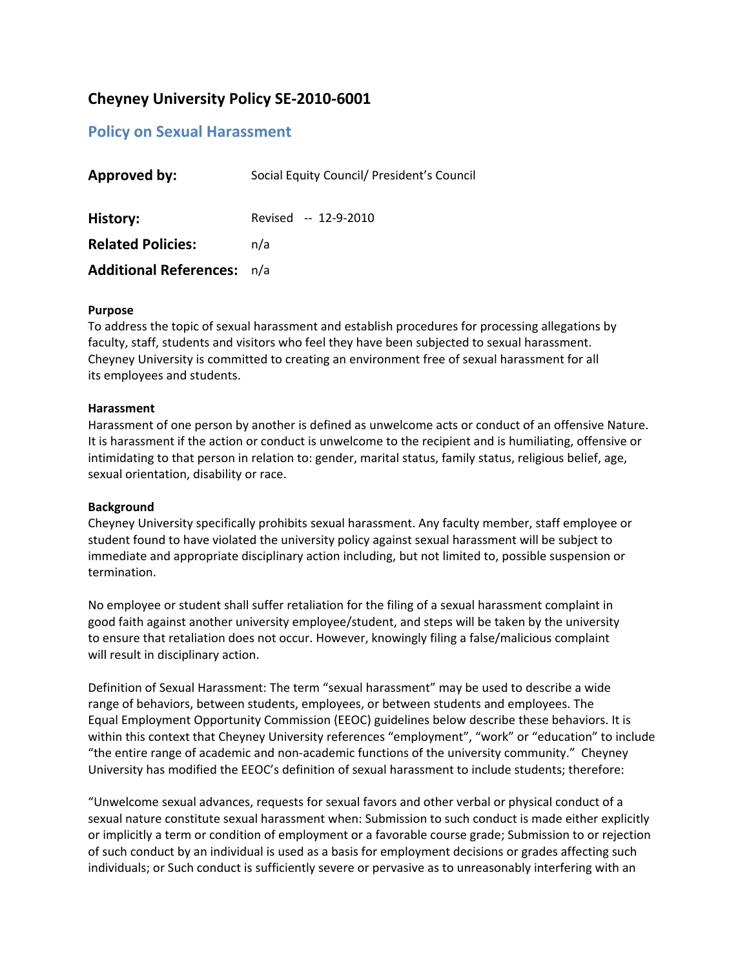# **Cheyney University Policy SE‐2010‐6001**

# **Policy on Sexual Harassment**

| <b>Approved by:</b>               | Social Equity Council/ President's Council |
|-----------------------------------|--------------------------------------------|
| History:                          | Revised -- 12-9-2010                       |
| <b>Related Policies:</b>          | n/a                                        |
| <b>Additional References:</b> n/a |                                            |

#### **Purpose**

To address the topic of sexual harassment and establish procedures for processing allegations by faculty, staff, students and visitors who feel they have been subjected to sexual harassment. Cheyney University is committed to creating an environment free of sexual harassment for all its employees and students.

#### **Harassment**

Harassment of one person by another is defined as unwelcome acts or conduct of an offensive Nature. It is harassment if the action or conduct is unwelcome to the recipient and is humiliating, offensive or intimidating to that person in relation to: gender, marital status, family status, religious belief, age, sexual orientation, disability or race.

### **Background**

Cheyney University specifically prohibits sexual harassment. Any faculty member, staff employee or student found to have violated the university policy against sexual harassment will be subject to immediate and appropriate disciplinary action including, but not limited to, possible suspension or termination.

No employee or student shall suffer retaliation for the filing of a sexual harassment complaint in good faith against another university employee/student, and steps will be taken by the university to ensure that retaliation does not occur. However, knowingly filing a false/malicious complaint will result in disciplinary action.

Definition of Sexual Harassment: The term "sexual harassment" may be used to describe a wide range of behaviors, between students, employees, or between students and employees. The Equal Employment Opportunity Commission (EEOC) guidelines below describe these behaviors. It is within this context that Cheyney University references "employment", "work" or "education" to include "the entire range of academic and non‐academic functions of the university community." Cheyney University has modified the EEOC's definition of sexual harassment to include students; therefore:

"Unwelcome sexual advances, requests for sexual favors and other verbal or physical conduct of a sexual nature constitute sexual harassment when: Submission to such conduct is made either explicitly or implicitly a term or condition of employment or a favorable course grade; Submission to or rejection of such conduct by an individual is used as a basis for employment decisions or grades affecting such individuals; or Such conduct is sufficiently severe or pervasive as to unreasonably interfering with an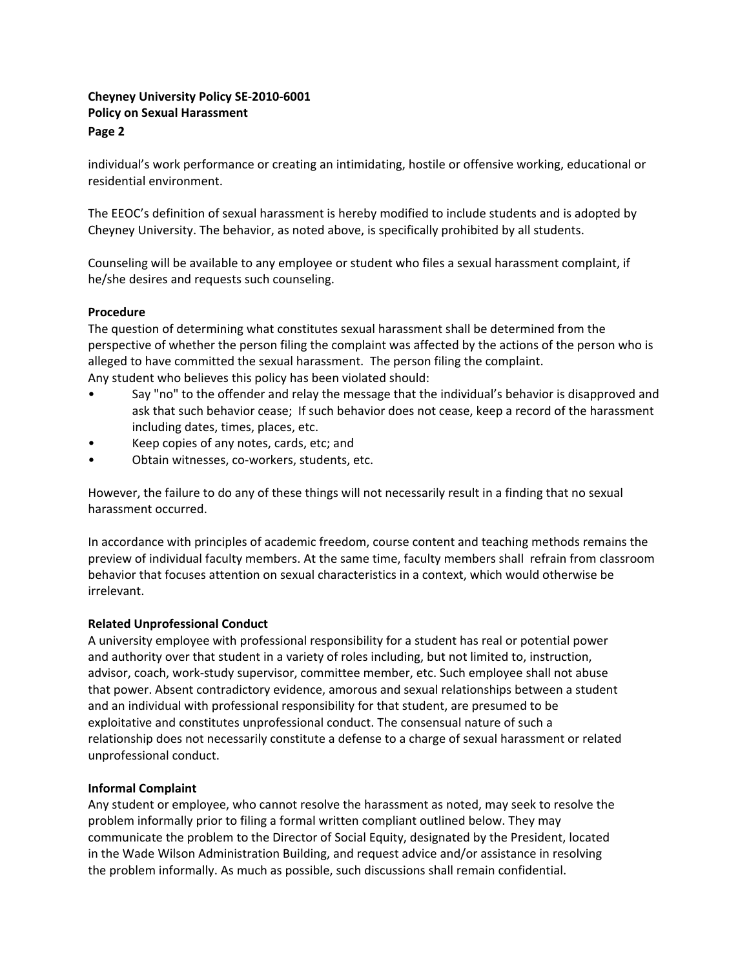individual's work performance or creating an intimidating, hostile or offensive working, educational or residential environment.

The EEOC's definition of sexual harassment is hereby modified to include students and is adopted by Cheyney University. The behavior, as noted above, is specifically prohibited by all students.

Counseling will be available to any employee or student who files a sexual harassment complaint, if he/she desires and requests such counseling.

### **Procedure**

The question of determining what constitutes sexual harassment shall be determined from the perspective of whether the person filing the complaint was affected by the actions of the person who is alleged to have committed the sexual harassment. The person filing the complaint. Any student who believes this policy has been violated should:

- Say "no" to the offender and relay the message that the individual's behavior is disapproved and ask that such behavior cease; If such behavior does not cease, keep a record of the harassment including dates, times, places, etc.
- Keep copies of any notes, cards, etc; and
- Obtain witnesses, co-workers, students, etc.

However, the failure to do any of these things will not necessarily result in a finding that no sexual harassment occurred.

In accordance with principles of academic freedom, course content and teaching methods remains the preview of individual faculty members. At the same time, faculty members shall refrain from classroom behavior that focuses attention on sexual characteristics in a context, which would otherwise be irrelevant.

### **Related Unprofessional Conduct**

A university employee with professional responsibility for a student has real or potential power and authority over that student in a variety of roles including, but not limited to, instruction, advisor, coach, work‐study supervisor, committee member, etc. Such employee shall not abuse that power. Absent contradictory evidence, amorous and sexual relationships between a student and an individual with professional responsibility for that student, are presumed to be exploitative and constitutes unprofessional conduct. The consensual nature of such a relationship does not necessarily constitute a defense to a charge of sexual harassment or related unprofessional conduct.

### **Informal Complaint**

Any student or employee, who cannot resolve the harassment as noted, may seek to resolve the problem informally prior to filing a formal written compliant outlined below. They may communicate the problem to the Director of Social Equity, designated by the President, located in the Wade Wilson Administration Building, and request advice and/or assistance in resolving the problem informally. As much as possible, such discussions shall remain confidential.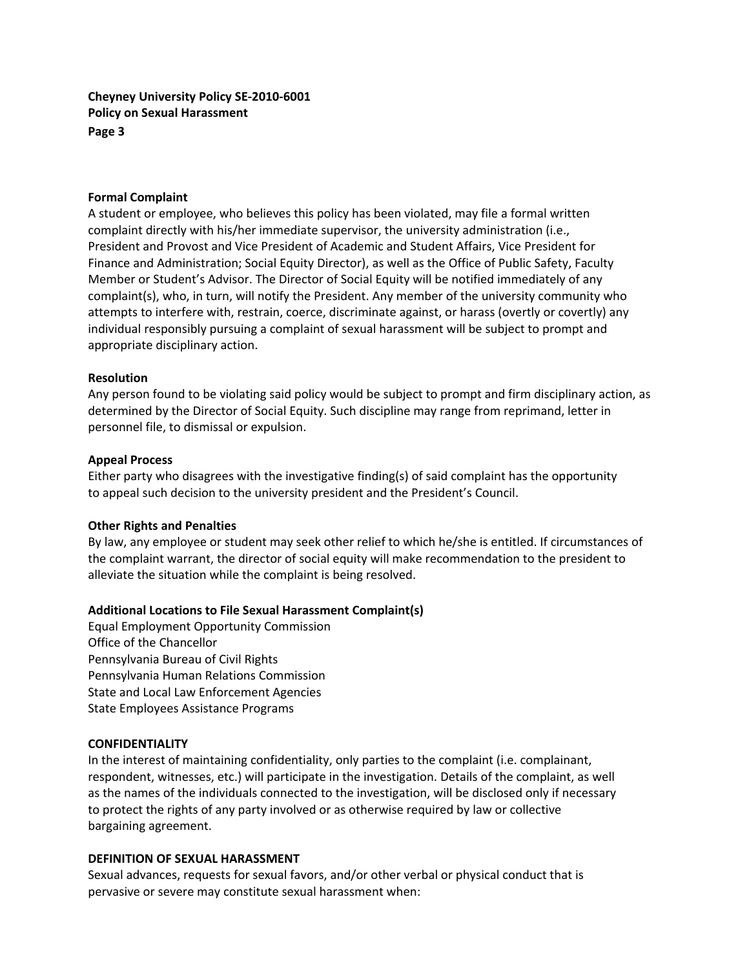#### **Formal Complaint**

A student or employee, who believes this policy has been violated, may file a formal written complaint directly with his/her immediate supervisor, the university administration (i.e., President and Provost and Vice President of Academic and Student Affairs, Vice President for Finance and Administration; Social Equity Director), as well as the Office of Public Safety, Faculty Member or Student's Advisor. The Director of Social Equity will be notified immediately of any complaint(s), who, in turn, will notify the President. Any member of the university community who attempts to interfere with, restrain, coerce, discriminate against, or harass (overtly or covertly) any individual responsibly pursuing a complaint of sexual harassment will be subject to prompt and appropriate disciplinary action.

#### **Resolution**

Any person found to be violating said policy would be subject to prompt and firm disciplinary action, as determined by the Director of Social Equity. Such discipline may range from reprimand, letter in personnel file, to dismissal or expulsion.

#### **Appeal Process**

Either party who disagrees with the investigative finding(s) of said complaint has the opportunity to appeal such decision to the university president and the President's Council.

#### **Other Rights and Penalties**

By law, any employee or student may seek other relief to which he/she is entitled. If circumstances of the complaint warrant, the director of social equity will make recommendation to the president to alleviate the situation while the complaint is being resolved.

#### **Additional Locations to File Sexual Harassment Complaint(s)**

Equal Employment Opportunity Commission Office of the Chancellor Pennsylvania Bureau of Civil Rights Pennsylvania Human Relations Commission State and Local Law Enforcement Agencies State Employees Assistance Programs

#### **CONFIDENTIALITY**

In the interest of maintaining confidentiality, only parties to the complaint (i.e. complainant, respondent, witnesses, etc.) will participate in the investigation. Details of the complaint, as well as the names of the individuals connected to the investigation, will be disclosed only if necessary to protect the rights of any party involved or as otherwise required by law or collective bargaining agreement.

#### **DEFINITION OF SEXUAL HARASSMENT**

Sexual advances, requests for sexual favors, and/or other verbal or physical conduct that is pervasive or severe may constitute sexual harassment when: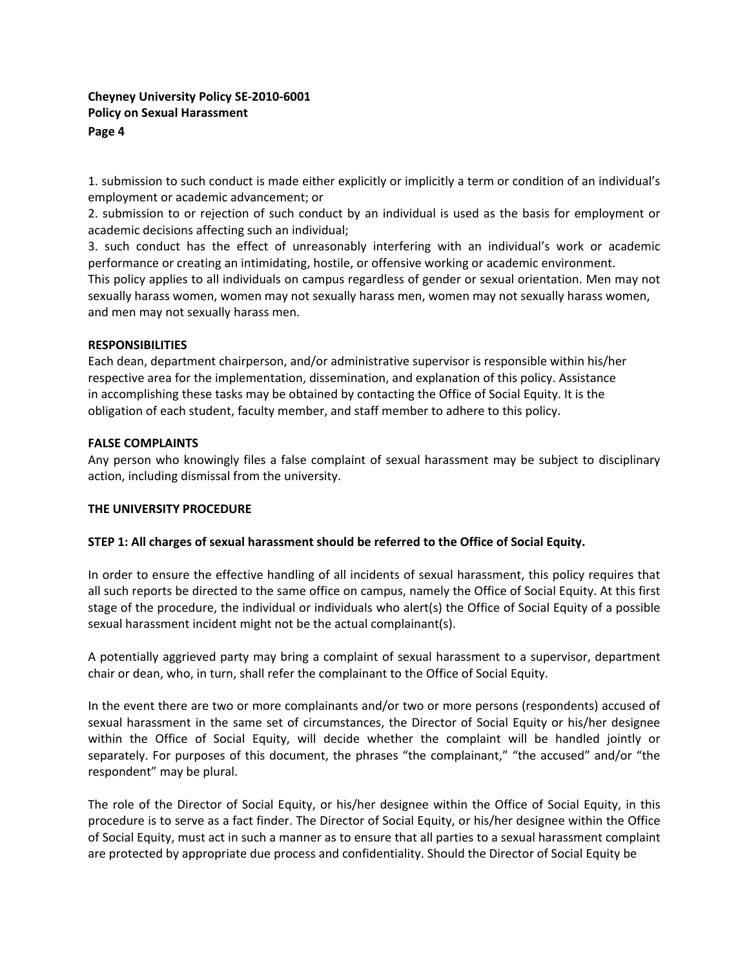1. submission to such conduct is made either explicitly or implicitly a term or condition of an individual's employment or academic advancement; or

2. submission to or rejection of such conduct by an individual is used as the basis for employment or academic decisions affecting such an individual;

3. such conduct has the effect of unreasonably interfering with an individual's work or academic performance or creating an intimidating, hostile, or offensive working or academic environment. This policy applies to all individuals on campus regardless of gender or sexual orientation. Men may not sexually harass women, women may not sexually harass men, women may not sexually harass women, and men may not sexually harass men.

### **RESPONSIBILITIES**

Each dean, department chairperson, and/or administrative supervisor is responsible within his/her respective area for the implementation, dissemination, and explanation of this policy. Assistance in accomplishing these tasks may be obtained by contacting the Office of Social Equity. It is the obligation of each student, faculty member, and staff member to adhere to this policy.

#### **FALSE COMPLAINTS**

Any person who knowingly files a false complaint of sexual harassment may be subject to disciplinary action, including dismissal from the university.

### **THE UNIVERSITY PROCEDURE**

### **STEP 1: All charges of sexual harassment should be referred to the Office of Social Equity.**

In order to ensure the effective handling of all incidents of sexual harassment, this policy requires that all such reports be directed to the same office on campus, namely the Office of Social Equity. At this first stage of the procedure, the individual or individuals who alert(s) the Office of Social Equity of a possible sexual harassment incident might not be the actual complainant(s).

A potentially aggrieved party may bring a complaint of sexual harassment to a supervisor, department chair or dean, who, in turn, shall refer the complainant to the Office of Social Equity.

In the event there are two or more complainants and/or two or more persons (respondents) accused of sexual harassment in the same set of circumstances, the Director of Social Equity or his/her designee within the Office of Social Equity, will decide whether the complaint will be handled jointly or separately. For purposes of this document, the phrases "the complainant," "the accused" and/or "the respondent" may be plural.

The role of the Director of Social Equity, or his/her designee within the Office of Social Equity, in this procedure is to serve as a fact finder. The Director of Social Equity, or his/her designee within the Office of Social Equity, must act in such a manner as to ensure that all parties to a sexual harassment complaint are protected by appropriate due process and confidentiality. Should the Director of Social Equity be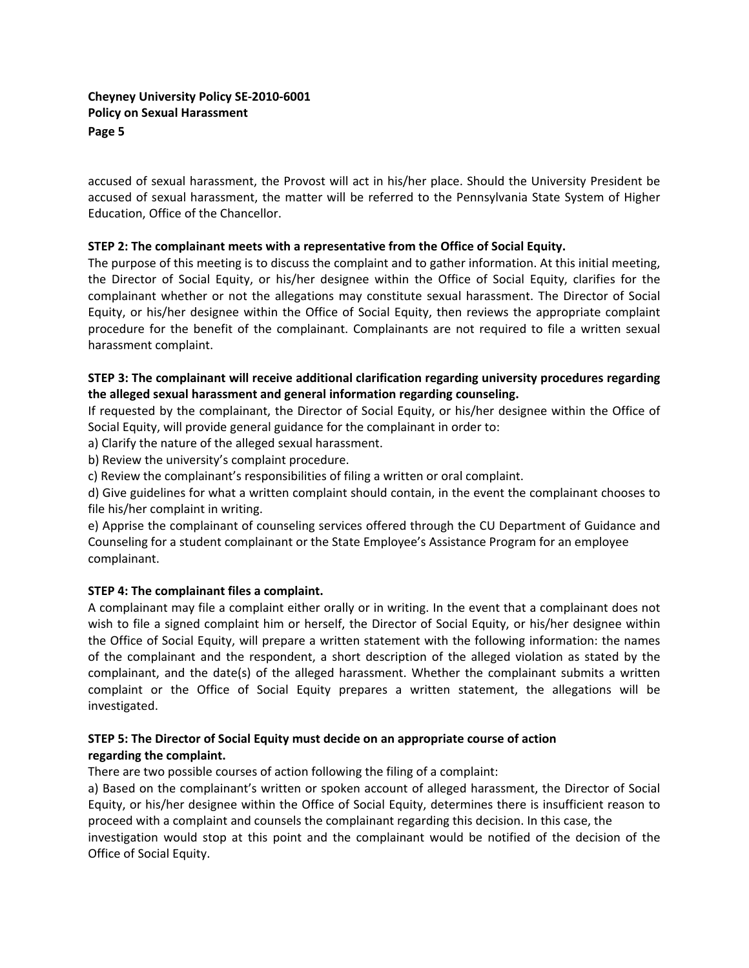accused of sexual harassment, the Provost will act in his/her place. Should the University President be accused of sexual harassment, the matter will be referred to the Pennsylvania State System of Higher Education, Office of the Chancellor.

# **STEP 2: The complainant meets with a representative from the Office of Social Equity.**

The purpose of this meeting is to discuss the complaint and to gather information. At this initial meeting, the Director of Social Equity, or his/her designee within the Office of Social Equity, clarifies for the complainant whether or not the allegations may constitute sexual harassment. The Director of Social Equity, or his/her designee within the Office of Social Equity, then reviews the appropriate complaint procedure for the benefit of the complainant. Complainants are not required to file a written sexual harassment complaint.

# **STEP 3: The complainant will receive additional clarification regarding university procedures regarding the alleged sexual harassment and general information regarding counseling.**

If requested by the complainant, the Director of Social Equity, or his/her designee within the Office of Social Equity, will provide general guidance for the complainant in order to:

a) Clarify the nature of the alleged sexual harassment.

b) Review the university's complaint procedure.

c) Review the complainant's responsibilities of filing a written or oral complaint.

d) Give guidelines for what a written complaint should contain, in the event the complainant chooses to file his/her complaint in writing.

e) Apprise the complainant of counseling services offered through the CU Department of Guidance and Counseling for a student complainant or the State Employee's Assistance Program for an employee complainant.

### **STEP 4: The complainant files a complaint.**

A complainant may file a complaint either orally or in writing. In the event that a complainant does not wish to file a signed complaint him or herself, the Director of Social Equity, or his/her designee within the Office of Social Equity, will prepare a written statement with the following information: the names of the complainant and the respondent, a short description of the alleged violation as stated by the complainant, and the date(s) of the alleged harassment. Whether the complainant submits a written complaint or the Office of Social Equity prepares a written statement, the allegations will be investigated.

# **STEP 5: The Director of Social Equity must decide on an appropriate course of action regarding the complaint.**

There are two possible courses of action following the filing of a complaint:

a) Based on the complainant's written or spoken account of alleged harassment, the Director of Social Equity, or his/her designee within the Office of Social Equity, determines there is insufficient reason to proceed with a complaint and counsels the complainant regarding this decision. In this case, the investigation would stop at this point and the complainant would be notified of the decision of the Office of Social Equity.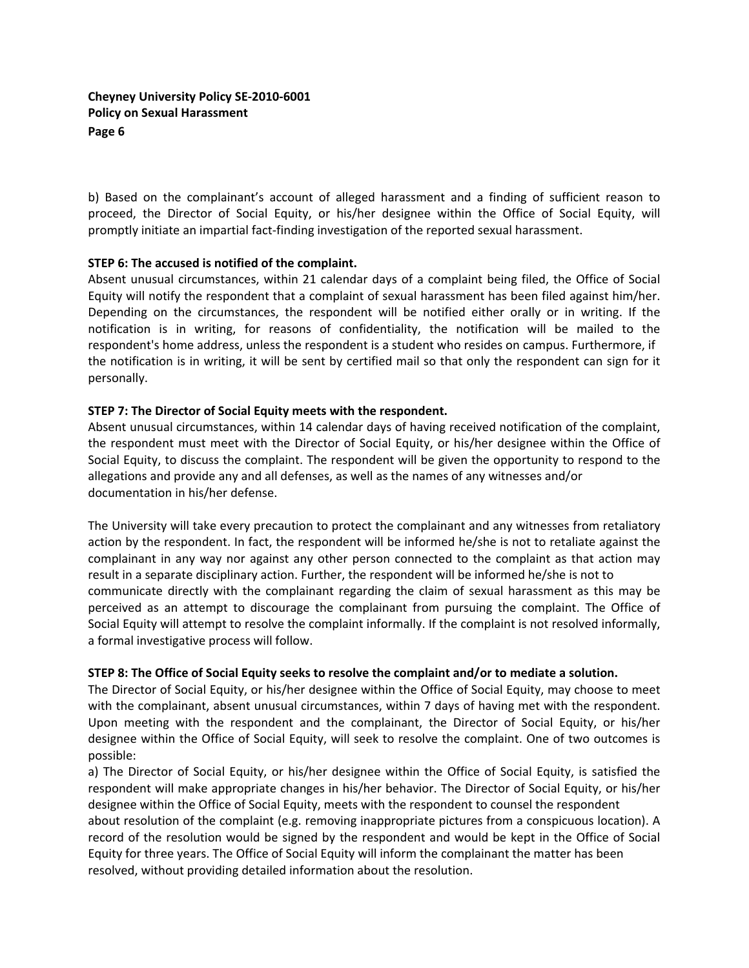b) Based on the complainant's account of alleged harassment and a finding of sufficient reason to proceed, the Director of Social Equity, or his/her designee within the Office of Social Equity, will promptly initiate an impartial fact‐finding investigation of the reported sexual harassment.

### **STEP 6: The accused is notified of the complaint.**

Absent unusual circumstances, within 21 calendar days of a complaint being filed, the Office of Social Equity will notify the respondent that a complaint of sexual harassment has been filed against him/her. Depending on the circumstances, the respondent will be notified either orally or in writing. If the notification is in writing, for reasons of confidentiality, the notification will be mailed to the respondent's home address, unless the respondent is a student who resides on campus. Furthermore, if the notification is in writing, it will be sent by certified mail so that only the respondent can sign for it personally.

# **STEP 7: The Director of Social Equity meets with the respondent.**

Absent unusual circumstances, within 14 calendar days of having received notification of the complaint, the respondent must meet with the Director of Social Equity, or his/her designee within the Office of Social Equity, to discuss the complaint. The respondent will be given the opportunity to respond to the allegations and provide any and all defenses, as well as the names of any witnesses and/or documentation in his/her defense.

The University will take every precaution to protect the complainant and any witnesses from retaliatory action by the respondent. In fact, the respondent will be informed he/she is not to retaliate against the complainant in any way nor against any other person connected to the complaint as that action may result in a separate disciplinary action. Further, the respondent will be informed he/she is not to communicate directly with the complainant regarding the claim of sexual harassment as this may be perceived as an attempt to discourage the complainant from pursuing the complaint. The Office of Social Equity will attempt to resolve the complaint informally. If the complaint is not resolved informally, a formal investigative process will follow.

### **STEP 8: The Office of Social Equity seeks to resolve the complaint and/or to mediate a solution.**

The Director of Social Equity, or his/her designee within the Office of Social Equity, may choose to meet with the complainant, absent unusual circumstances, within 7 days of having met with the respondent. Upon meeting with the respondent and the complainant, the Director of Social Equity, or his/her designee within the Office of Social Equity, will seek to resolve the complaint. One of two outcomes is possible:

a) The Director of Social Equity, or his/her designee within the Office of Social Equity, is satisfied the respondent will make appropriate changes in his/her behavior. The Director of Social Equity, or his/her designee within the Office of Social Equity, meets with the respondent to counsel the respondent about resolution of the complaint (e.g. removing inappropriate pictures from a conspicuous location). A record of the resolution would be signed by the respondent and would be kept in the Office of Social Equity for three years. The Office of Social Equity will inform the complainant the matter has been resolved, without providing detailed information about the resolution.